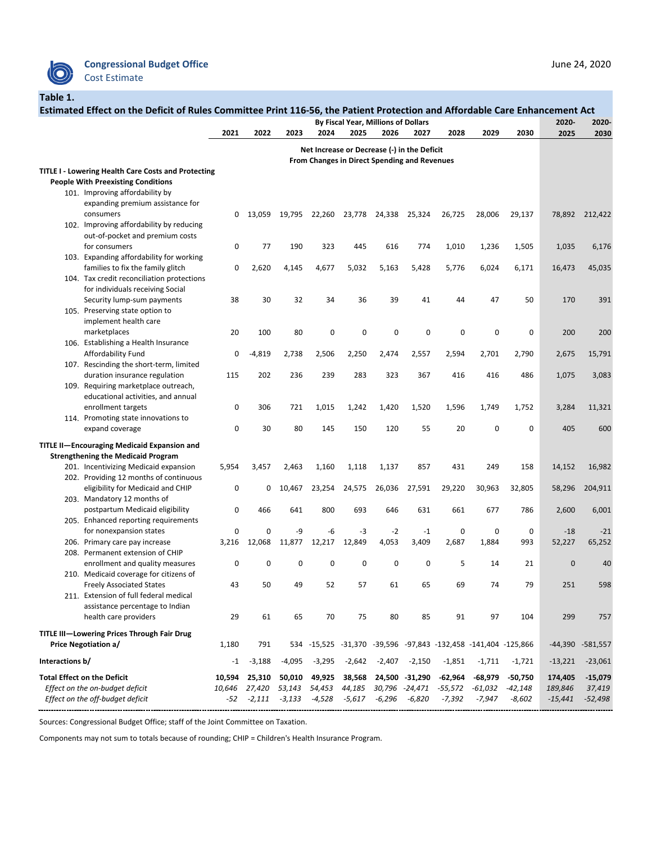

## **Table 1.**

|                 | Estimated Effect on the Deficit of Rules Committee Print 116-56, the Patient Protection and Affordable Care Enhancement Act |        |                                              |             |             | By Fiscal Year, Millions of Dollars         |                  |                |           |                                                                |           | 2020-     | 2020-            |
|-----------------|-----------------------------------------------------------------------------------------------------------------------------|--------|----------------------------------------------|-------------|-------------|---------------------------------------------|------------------|----------------|-----------|----------------------------------------------------------------|-----------|-----------|------------------|
|                 |                                                                                                                             | 2021   | 2022                                         | 2023        | 2024        | 2025                                        | 2026             | 2027           | 2028      | 2029                                                           | 2030      | 2025      | 2030             |
|                 |                                                                                                                             |        |                                              |             |             | Net Increase or Decrease (-) in the Deficit |                  |                |           |                                                                |           |           |                  |
|                 |                                                                                                                             |        | From Changes in Direct Spending and Revenues |             |             |                                             |                  |                |           |                                                                |           |           |                  |
|                 | <b>TITLE I - Lowering Health Care Costs and Protecting</b>                                                                  |        |                                              |             |             |                                             |                  |                |           |                                                                |           |           |                  |
|                 | <b>People With Preexisting Conditions</b>                                                                                   |        |                                              |             |             |                                             |                  |                |           |                                                                |           |           |                  |
|                 | 101. Improving affordability by                                                                                             |        |                                              |             |             |                                             |                  |                |           |                                                                |           |           |                  |
|                 | expanding premium assistance for                                                                                            |        |                                              |             |             |                                             |                  |                |           |                                                                |           |           |                  |
|                 | consumers                                                                                                                   | 0      | 13,059                                       | 19,795      | 22,260      |                                             | 23,778 24,338    | 25,324         | 26,725    | 28,006                                                         | 29,137    | 78,892    | 212,422          |
|                 | 102. Improving affordability by reducing                                                                                    |        |                                              |             |             |                                             |                  |                |           |                                                                |           |           |                  |
|                 | out-of-pocket and premium costs                                                                                             |        |                                              |             |             |                                             |                  |                |           |                                                                |           |           |                  |
|                 | for consumers                                                                                                               | 0      | 77                                           | 190         | 323         | 445                                         | 616              | 774            | 1,010     | 1,236                                                          | 1,505     | 1,035     | 6,176            |
|                 | 103. Expanding affordability for working                                                                                    |        |                                              |             |             |                                             |                  |                |           |                                                                |           |           |                  |
|                 | families to fix the family glitch                                                                                           | 0      | 2,620                                        | 4,145       | 4,677       | 5,032                                       | 5,163            | 5,428          | 5,776     | 6,024                                                          | 6,171     | 16,473    | 45,035           |
|                 | 104. Tax credit reconciliation protections                                                                                  |        |                                              |             |             |                                             |                  |                |           |                                                                |           |           |                  |
|                 | for individuals receiving Social                                                                                            |        |                                              |             |             |                                             |                  |                |           |                                                                |           |           |                  |
|                 | Security lump-sum payments                                                                                                  | 38     | 30                                           | 32          | 34          | 36                                          | 39               | 41             | 44        | 47                                                             | 50        | 170       | 391              |
|                 | 105. Preserving state option to                                                                                             |        |                                              |             |             |                                             |                  |                |           |                                                                |           |           |                  |
|                 | implement health care                                                                                                       |        |                                              |             |             |                                             |                  |                |           |                                                                |           |           |                  |
|                 | marketplaces                                                                                                                | 20     | 100                                          | 80          | $\pmb{0}$   | $\mathbf 0$                                 | $\pmb{0}$        | 0              | 0         | 0                                                              | 0         | 200       | 200              |
|                 | 106. Establishing a Health Insurance                                                                                        |        |                                              |             |             |                                             |                  |                |           |                                                                |           |           |                  |
|                 | Affordability Fund                                                                                                          | 0      | $-4,819$                                     | 2,738       | 2,506       | 2,250                                       | 2,474            | 2,557          | 2,594     | 2,701                                                          | 2,790     | 2,675     | 15,791           |
|                 | 107. Rescinding the short-term, limited                                                                                     |        |                                              |             |             |                                             |                  |                |           |                                                                |           |           |                  |
|                 | duration insurance regulation                                                                                               | 115    | 202                                          | 236         | 239         | 283                                         | 323              | 367            | 416       | 416                                                            | 486       | 1,075     | 3,083            |
|                 | 109. Requiring marketplace outreach,                                                                                        |        |                                              |             |             |                                             |                  |                |           |                                                                |           |           |                  |
|                 | educational activities, and annual                                                                                          |        |                                              |             |             |                                             |                  |                |           |                                                                |           |           |                  |
|                 | enrollment targets                                                                                                          | 0      | 306                                          | 721         | 1,015       | 1,242                                       | 1,420            | 1,520          | 1,596     | 1,749                                                          | 1,752     | 3,284     | 11,321           |
|                 | 114. Promoting state innovations to                                                                                         |        |                                              |             |             |                                             |                  |                |           |                                                                |           |           |                  |
|                 | expand coverage                                                                                                             | 0      | 30                                           | 80          | 145         | 150                                         | 120              | 55             | 20        | 0                                                              | 0         | 405       | 600              |
|                 | <b>TITLE II-Encouraging Medicaid Expansion and</b>                                                                          |        |                                              |             |             |                                             |                  |                |           |                                                                |           |           |                  |
|                 | <b>Strengthening the Medicaid Program</b>                                                                                   |        |                                              |             |             |                                             |                  |                |           |                                                                |           |           |                  |
|                 | 201. Incentivizing Medicaid expansion                                                                                       | 5,954  | 3,457                                        | 2,463       | 1,160       | 1,118                                       | 1,137            | 857            | 431       | 249                                                            | 158       | 14,152    | 16,982           |
|                 | 202. Providing 12 months of continuous                                                                                      |        |                                              |             |             |                                             |                  |                |           |                                                                |           |           |                  |
|                 | eligibility for Medicaid and CHIP                                                                                           | 0      | 0                                            | 10,467      | 23,254      | 24,575                                      | 26,036           | 27,591         | 29,220    | 30,963                                                         | 32,805    | 58,296    | 204,911          |
|                 | 203. Mandatory 12 months of                                                                                                 |        |                                              |             |             |                                             |                  |                |           |                                                                |           |           |                  |
|                 | postpartum Medicaid eligibility                                                                                             | 0      | 466                                          | 641         | 800         | 693                                         | 646              | 631            | 661       | 677                                                            | 786       | 2,600     | 6,001            |
|                 | 205. Enhanced reporting requirements                                                                                        |        |                                              |             |             |                                             |                  |                |           |                                                                |           |           |                  |
|                 | for nonexpansion states                                                                                                     | 0      | 0                                            | -9          | -6          | $-3$                                        | $-2$             | $-1$           | 0         | 0                                                              | 0         | $-18$     | $-21$            |
| 206.            | Primary care pay increase                                                                                                   | 3,216  | 12,068                                       | 11,877      | 12,217      | 12,849                                      | 4,053            | 3,409          | 2,687     | 1,884                                                          | 993       | 52,227    | 65,252           |
|                 | 208. Permanent extension of CHIP                                                                                            |        |                                              |             |             |                                             |                  |                |           |                                                                |           |           |                  |
|                 | enrollment and quality measures                                                                                             | 0      | 0                                            | $\mathbf 0$ | $\mathbf 0$ | $\mathbf 0$                                 | $\boldsymbol{0}$ | $\mathbf 0$    | 5         | 14                                                             | 21        | $\pmb{0}$ | 40               |
|                 | 210. Medicaid coverage for citizens of                                                                                      |        |                                              |             |             |                                             |                  |                |           |                                                                |           |           |                  |
|                 | <b>Freely Associated States</b>                                                                                             | 43     | 50                                           | 49          | 52          | 57                                          | 61               | 65             | 69        | 74                                                             | 79        | 251       | 598              |
|                 | 211. Extension of full federal medical                                                                                      |        |                                              |             |             |                                             |                  |                |           |                                                                |           |           |                  |
|                 | assistance percentage to Indian                                                                                             |        |                                              |             |             |                                             |                  |                |           |                                                                |           |           |                  |
|                 | health care providers                                                                                                       | 29     | 61                                           | 65          | 70          | 75                                          | 80               | 85             | 91        | 97                                                             | 104       | 299       | 757              |
|                 | TITLE III-Lowering Prices Through Fair Drug                                                                                 |        |                                              |             |             |                                             |                  |                |           |                                                                |           |           |                  |
|                 | <b>Price Negotiation a/</b>                                                                                                 | 1,180  | 791                                          |             |             |                                             |                  |                |           | 534 -15,525 -31,370 -39,596 -97,843 -132,458 -141,404 -125,866 |           |           | -44,390 -581,557 |
| Interactions b/ |                                                                                                                             | $-1$   | $-3,188$                                     | $-4,095$    | $-3,295$    | $-2,642$                                    | $-2,407$         | $-2,150$       | $-1,851$  | $-1,711$                                                       | $-1,721$  | $-13,221$ | $-23,061$        |
|                 |                                                                                                                             |        |                                              |             |             |                                             |                  |                |           |                                                                |           |           |                  |
|                 | <b>Total Effect on the Deficit</b>                                                                                          | 10,594 | 25,310                                       | 50,010      | 49,925      | 38,568                                      | 24,500           | -31,290        | $-62,964$ | $-68,979$                                                      | $-50,750$ | 174,405   | $-15,079$        |
|                 | Effect on the on-budget deficit                                                                                             | 10,646 | 27,420                                       | 53,143      | 54,453      | 44,185                                      |                  | 30,796 -24,471 | $-55,572$ | $-61,032$                                                      | $-42,148$ | 189,846   | 37,419           |
|                 | Effect on the off-budget deficit                                                                                            | $-52$  | $-2,111$                                     | $-3,133$    | $-4,528$    | $-5,617$                                    | $-6,296$         | $-6,820$       | $-7,392$  | $-7,947$                                                       | $-8,602$  | $-15,441$ | $-52,498$        |

Sources: Congressional Budget Office; staff of the Joint Committee on Taxation.

Components may not sum to totals because of rounding; CHIP = Children's Health Insurance Program.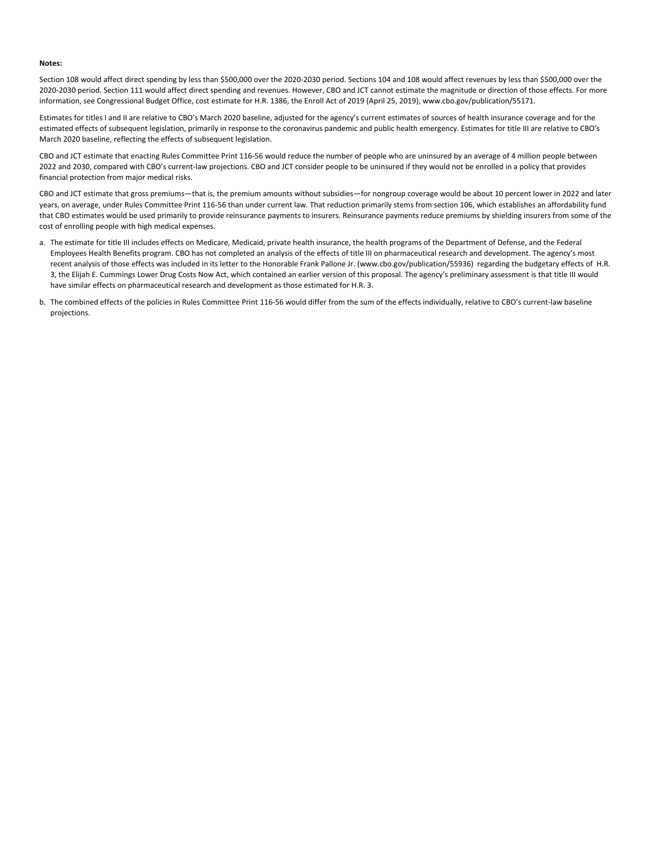## **Notes:**

Section 108 would affect direct spending by less than \$500,000 over the 2020-2030 period. Sections 104 and 108 would affect revenues by less than \$500,000 over the 2020-2030 period. Section 111 would affect direct spending and revenues. However, CBO and JCT cannot estimate the magnitude or direction of those effects. For more information, see Congressional Budget Office, cost estimate for H.R. 1386, the Enroll Act of 2019 (April 25, 2019), www.cbo.gov/publication/55171.

Estimates for titles I and II are relative to CBO's March 2020 baseline, adjusted for the agency's current estimates of sources of health insurance coverage and for the estimated effects of subsequent legislation, primarily in response to the coronavirus pandemic and public health emergency. Estimates for title III are relative to CBO's March 2020 baseline, reflecting the effects of subsequent legislation.

CBO and JCT estimate that enacting Rules Committee Print 116-56 would reduce the number of people who are uninsured by an average of 4 million people between 2022 and 2030, compared with CBO's current-law projections. CBO and JCT consider people to be uninsured if they would not be enrolled in a policy that provides financial protection from major medical risks.

CBO and JCT estimate that gross premiums—that is, the premium amounts without subsidies—for nongroup coverage would be about 10 percent lower in 2022 and later years, on average, under Rules Committee Print 116-56 than under current law. That reduction primarily stems from section 106, which establishes an affordability fund that CBO estimates would be used primarily to provide reinsurance payments to insurers. Reinsurance payments reduce premiums by shielding insurers from some of the cost of enrolling people with high medical expenses.

- a. The estimate for title III includes effects on Medicare, Medicaid, private health insurance, the health programs of the Department of Defense, and the Federal Employees Health Benefits program. CBO has not completed an analysis of the effects of title III on pharmaceutical research and development. The agency's most recent analysis of those effects was included in its letter to the Honorable Frank Pallone Jr. (www.cbo.gov/publication/55936) regarding the budgetary effects of H.R. 3, the Elijah E. Cummings Lower Drug Costs Now Act, which contained an earlier version of this proposal. The agency's preliminary assessment is that title III would have similar effects on pharmaceutical research and development as those estimated for H.R. 3.
- b. The combined effects of the policies in Rules Committee Print 116-56 would differ from the sum of the effects individually, relative to CBO's current-law baseline projections.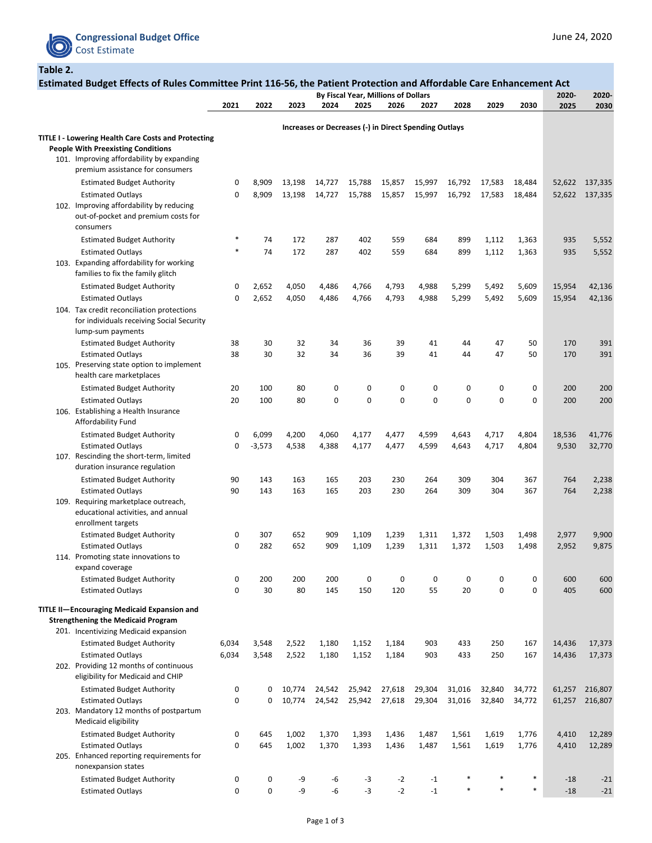

**Table 2.**

| Estimated Budget Effects of Rules Committee Print 116-56, the Patient Protection and Affordable Care Enhancement Act                     |             |                     |                  |                  |                                                       |                  |                  |                  |                  |                  |                  |                    |
|------------------------------------------------------------------------------------------------------------------------------------------|-------------|---------------------|------------------|------------------|-------------------------------------------------------|------------------|------------------|------------------|------------------|------------------|------------------|--------------------|
|                                                                                                                                          | 2021        | 2022                | 2023             | 2024             | By Fiscal Year, Millions of Dollars<br>2025           | 2026             | 2027             | 2028             | 2029             | 2030             | 2020-<br>2025    | 2020-<br>2030      |
|                                                                                                                                          |             |                     |                  |                  |                                                       |                  |                  |                  |                  |                  |                  |                    |
| <b>TITLE I - Lowering Health Care Costs and Protecting</b>                                                                               |             |                     |                  |                  | Increases or Decreases (-) in Direct Spending Outlays |                  |                  |                  |                  |                  |                  |                    |
| <b>People With Preexisting Conditions</b><br>101. Improving affordability by expanding<br>premium assistance for consumers               |             |                     |                  |                  |                                                       |                  |                  |                  |                  |                  |                  |                    |
| <b>Estimated Budget Authority</b>                                                                                                        | 0           | 8,909               | 13,198           | 14,727           | 15,788                                                | 15,857           | 15,997           | 16,792           | 17,583           | 18,484           | 52,622           | 137,335            |
| <b>Estimated Outlays</b><br>102. Improving affordability by reducing<br>out-of-pocket and premium costs for<br>consumers                 | 0           | 8,909               | 13,198           | 14,727           | 15,788                                                | 15,857           | 15,997           | 16,792           | 17,583           | 18,484           | 52,622           | 137,335            |
| <b>Estimated Budget Authority</b>                                                                                                        | $\ast$      | 74                  | 172              | 287              | 402                                                   | 559              | 684              | 899              | 1,112            | 1,363            | 935              | 5,552              |
| <b>Estimated Outlays</b><br>103. Expanding affordability for working<br>families to fix the family glitch                                | $\ast$      | 74                  | 172              | 287              | 402                                                   | 559              | 684              | 899              | 1,112            | 1,363            | 935              | 5,552              |
| <b>Estimated Budget Authority</b>                                                                                                        | 0           | 2,652               | 4,050            | 4,486            | 4,766                                                 | 4,793            | 4,988            | 5,299            | 5,492            | 5,609            | 15,954           | 42,136             |
| <b>Estimated Outlays</b><br>104. Tax credit reconciliation protections<br>for individuals receiving Social Security<br>lump-sum payments | 0           | 2,652               | 4,050            | 4,486            | 4,766                                                 | 4,793            | 4,988            | 5,299            | 5,492            | 5,609            | 15,954           | 42,136             |
| <b>Estimated Budget Authority</b>                                                                                                        | 38          | 30                  | 32               | 34               | 36                                                    | 39               | 41               | 44               | 47               | 50               | 170              | 391                |
| <b>Estimated Outlays</b><br>105. Preserving state option to implement<br>health care marketplaces                                        | 38          | 30                  | 32               | 34               | 36                                                    | 39               | 41               | 44               | 47               | 50               | 170              | 391                |
| <b>Estimated Budget Authority</b>                                                                                                        | 20          | 100                 | 80               | 0                | 0                                                     | 0                | 0                | 0                | 0                | 0                | 200              | 200                |
| <b>Estimated Outlays</b><br>106. Establishing a Health Insurance<br>Affordability Fund                                                   | 20          | 100                 | 80               | $\mathbf 0$      | 0                                                     | $\mathbf 0$      | $\mathbf 0$      | 0                | $\pmb{0}$        | 0                | 200              | 200                |
| <b>Estimated Budget Authority</b>                                                                                                        | 0           | 6,099               | 4,200            | 4,060            | 4,177                                                 | 4,477            | 4,599            | 4,643            | 4,717            | 4,804            | 18,536           | 41,776             |
| <b>Estimated Outlays</b><br>107. Rescinding the short-term, limited<br>duration insurance regulation                                     | 0           | $-3,573$            | 4,538            | 4,388            | 4,177                                                 | 4,477            | 4,599            | 4,643            | 4,717            | 4,804            | 9,530            | 32,770             |
| <b>Estimated Budget Authority</b>                                                                                                        | 90          | 143                 | 163              | 165              | 203                                                   | 230              | 264              | 309              | 304              | 367              | 764              | 2,238              |
| <b>Estimated Outlays</b><br>109. Requiring marketplace outreach,<br>educational activities, and annual<br>enrollment targets             | 90          | 143                 | 163              | 165              | 203                                                   | 230              | 264              | 309              | 304              | 367              | 764              | 2,238              |
| <b>Estimated Budget Authority</b><br><b>Estimated Outlays</b><br>114. Promoting state innovations to                                     | 0<br>0      | 307<br>282          | 652<br>652       | 909<br>909       | 1,109<br>1,109                                        | 1,239<br>1,239   | 1,311<br>1,311   | 1,372<br>1,372   | 1,503<br>1,503   | 1,498<br>1,498   | 2,977<br>2,952   | 9,900<br>9,875     |
| expand coverage                                                                                                                          |             |                     |                  |                  |                                                       |                  |                  |                  |                  |                  |                  |                    |
| <b>Estimated Budget Authority</b><br><b>Estimated Outlays</b>                                                                            | 0<br>0      | 200<br>30           | 200<br>80        | 200<br>145       | 0<br>150                                              | 0<br>120         | 0<br>55          | 0<br>20          | 0<br>$\pmb{0}$   | 0<br>0           | 600<br>405       | 600<br>600         |
| TITLE II-Encouraging Medicaid Expansion and<br><b>Strengthening the Medicaid Program</b><br>201. Incentivizing Medicaid expansion        |             |                     |                  |                  |                                                       |                  |                  |                  |                  |                  |                  |                    |
| <b>Estimated Budget Authority</b>                                                                                                        | 6,034       | 3,548               | 2,522            | 1,180            | 1,152                                                 | 1,184            | 903              | 433              | 250              | 167              | 14,436           | 17,373             |
| <b>Estimated Outlays</b><br>202. Providing 12 months of continuous<br>eligibility for Medicaid and CHIP                                  | 6,034       | 3,548               | 2,522            | 1,180            | 1,152                                                 | 1,184            | 903              | 433              | 250              | 167              | 14,436           | 17,373             |
| <b>Estimated Budget Authority</b><br><b>Estimated Outlays</b><br>203. Mandatory 12 months of postpartum<br>Medicaid eligibility          | 0<br>0      | 0<br>0              | 10,774<br>10,774 | 24,542<br>24,542 | 25,942<br>25,942                                      | 27,618<br>27,618 | 29,304<br>29,304 | 31,016<br>31,016 | 32,840<br>32,840 | 34,772<br>34,772 | 61,257<br>61,257 | 216,807<br>216,807 |
| <b>Estimated Budget Authority</b>                                                                                                        | 0           | 645                 | 1,002            | 1,370            | 1,393                                                 | 1,436            | 1,487            | 1,561            | 1,619            | 1,776            | 4,410            | 12,289             |
| <b>Estimated Outlays</b><br>205. Enhanced reporting requirements for<br>nonexpansion states                                              | 0           | 645                 | 1,002            | 1,370            | 1,393                                                 | 1,436            | 1,487            | 1,561            | 1,619            | 1,776            | 4,410            | 12,289             |
| <b>Estimated Budget Authority</b>                                                                                                        | 0           | $\mathbf 0$         | -9               | $-6$             | $-3$                                                  | $-2$             | $-1$             |                  |                  |                  | $-18$            | $-21$              |
| <b>Estimated Outlays</b>                                                                                                                 | $\mathbf 0$ | $\mathsf{O}\xspace$ | -9               | $-6$             | $-3$                                                  | $-2$             | $-1$             |                  |                  | $\ast$           | $-18$            | $-21$              |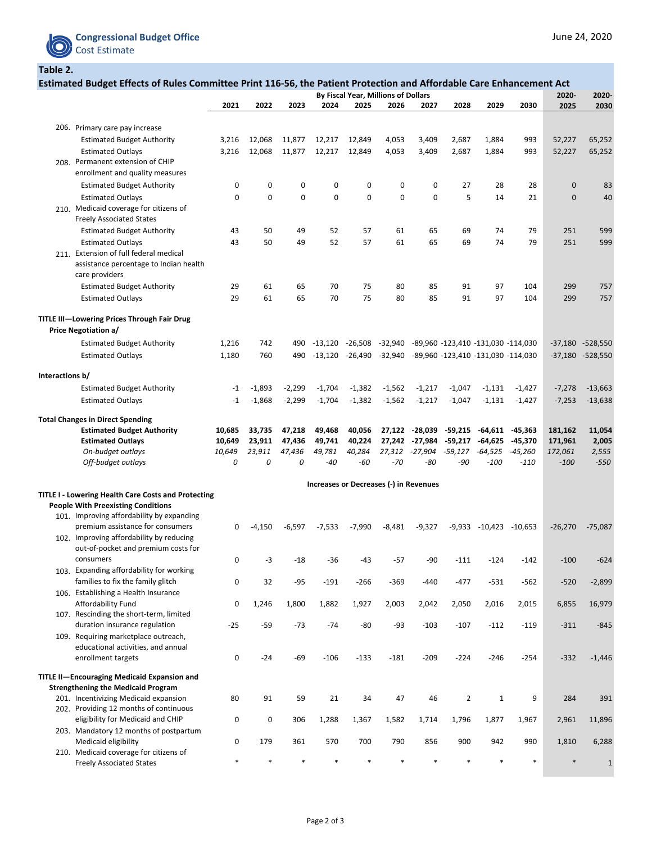

**Table 2.**

|                 |                                                                             | Estimated Budget Effects of Rules Committee Print 116-56, the Patient Protection and Affordable Care Enhancement Act<br>By Fiscal Year, Millions of Dollars |          |          |             |             |                                        |           |                |                                    |           |               |                  |
|-----------------|-----------------------------------------------------------------------------|-------------------------------------------------------------------------------------------------------------------------------------------------------------|----------|----------|-------------|-------------|----------------------------------------|-----------|----------------|------------------------------------|-----------|---------------|------------------|
|                 |                                                                             | 2021                                                                                                                                                        | 2022     | 2023     | 2024        | 2025        | 2026                                   | 2027      | 2028           | 2029                               | 2030      | 2020-<br>2025 | 2020-<br>2030    |
|                 |                                                                             |                                                                                                                                                             |          |          |             |             |                                        |           |                |                                    |           |               |                  |
|                 | 206. Primary care pay increase                                              |                                                                                                                                                             |          |          |             |             |                                        |           |                |                                    |           |               |                  |
|                 | <b>Estimated Budget Authority</b>                                           | 3,216                                                                                                                                                       | 12,068   | 11,877   | 12,217      | 12,849      | 4,053                                  | 3,409     | 2,687          | 1,884                              | 993       | 52,227        | 65,252           |
|                 | <b>Estimated Outlays</b>                                                    | 3,216                                                                                                                                                       | 12,068   | 11,877   | 12,217      | 12,849      | 4,053                                  | 3,409     | 2,687          | 1,884                              | 993       | 52,227        | 65,252           |
|                 | 208. Permanent extension of CHIP                                            |                                                                                                                                                             |          |          |             |             |                                        |           |                |                                    |           |               |                  |
|                 | enrollment and quality measures                                             |                                                                                                                                                             |          |          |             |             |                                        |           |                |                                    |           |               |                  |
|                 | <b>Estimated Budget Authority</b>                                           | 0                                                                                                                                                           | 0        | 0        | 0           | 0           | 0                                      | 0         | 27             | 28                                 | 28        | $\mathbf 0$   | 83               |
|                 | <b>Estimated Outlays</b>                                                    | $\mathbf{0}$                                                                                                                                                | 0        | 0        | $\mathbf 0$ | $\mathbf 0$ | $\mathbf 0$                            | 0         | 5              | 14                                 | 21        | $\mathbf 0$   | 40               |
|                 | 210. Medicaid coverage for citizens of                                      |                                                                                                                                                             |          |          |             |             |                                        |           |                |                                    |           |               |                  |
|                 | <b>Freely Associated States</b>                                             |                                                                                                                                                             |          |          |             |             |                                        |           |                |                                    |           |               |                  |
|                 | <b>Estimated Budget Authority</b>                                           | 43                                                                                                                                                          | 50       | 49       | 52          | 57          | 61                                     | 65        | 69             | 74                                 | 79        | 251           | 599              |
|                 | <b>Estimated Outlays</b>                                                    | 43                                                                                                                                                          | 50       | 49       | 52          | 57          | 61                                     | 65        | 69             | 74                                 | 79        | 251           | 599              |
|                 | 211. Extension of full federal medical                                      |                                                                                                                                                             |          |          |             |             |                                        |           |                |                                    |           |               |                  |
|                 | assistance percentage to Indian health                                      |                                                                                                                                                             |          |          |             |             |                                        |           |                |                                    |           |               |                  |
|                 | care providers                                                              |                                                                                                                                                             |          |          |             |             |                                        |           |                |                                    |           |               |                  |
|                 | <b>Estimated Budget Authority</b>                                           | 29                                                                                                                                                          | 61       | 65       | 70          | 75          | 80                                     | 85        | 91             | 97                                 | 104       | 299           | 757              |
|                 | <b>Estimated Outlays</b>                                                    | 29                                                                                                                                                          | 61       | 65       | 70          | 75          | 80                                     | 85        | 91             | 97                                 | 104       | 299           | 757              |
|                 | TITLE III-Lowering Prices Through Fair Drug                                 |                                                                                                                                                             |          |          |             |             |                                        |           |                |                                    |           |               |                  |
|                 | <b>Price Negotiation a/</b>                                                 |                                                                                                                                                             |          |          |             |             |                                        |           |                |                                    |           |               |                  |
|                 | <b>Estimated Budget Authority</b>                                           | 1,216                                                                                                                                                       | 742      | 490      | $-13,120$   | $-26,508$   | -32,940                                |           |                | -89,960 -123,410 -131,030 -114,030 |           |               | -37,180 -528,550 |
|                 | <b>Estimated Outlays</b>                                                    | 1,180                                                                                                                                                       | 760      | 490      | $-13,120$   | $-26,490$   | $-32,940$                              |           |                | -89,960 -123,410 -131,030 -114,030 |           |               | -37,180 -528,550 |
|                 |                                                                             |                                                                                                                                                             |          |          |             |             |                                        |           |                |                                    |           |               |                  |
| Interactions b/ |                                                                             |                                                                                                                                                             |          |          |             |             |                                        |           |                |                                    |           |               |                  |
|                 | <b>Estimated Budget Authority</b>                                           | $-1$                                                                                                                                                        | $-1,893$ | $-2,299$ | $-1,704$    | $-1,382$    | $-1,562$                               | $-1,217$  | $-1,047$       | $-1,131$                           | $-1,427$  | $-7,278$      | $-13,663$        |
|                 | <b>Estimated Outlays</b>                                                    | -1                                                                                                                                                          | $-1,868$ | $-2,299$ | $-1,704$    | $-1,382$    | $-1,562$                               | $-1,217$  | $-1,047$       | $-1,131$                           | $-1,427$  | $-7,253$      | $-13,638$        |
|                 |                                                                             |                                                                                                                                                             |          |          |             |             |                                        |           |                |                                    |           |               |                  |
|                 | <b>Total Changes in Direct Spending</b>                                     |                                                                                                                                                             |          |          |             |             |                                        |           |                |                                    |           |               |                  |
|                 | <b>Estimated Budget Authority</b>                                           | 10,685                                                                                                                                                      | 33,735   | 47,218   | 49,468      | 40,056      | 27,122                                 | $-28,039$ | $-59,215$      | $-64,611$                          | $-45,363$ | 181,162       | 11,054           |
|                 | <b>Estimated Outlays</b>                                                    | 10,649                                                                                                                                                      | 23,911   | 47,436   | 49,741      | 40,224      | 27,242                                 | -27,984   | $-59,217$      | -64,625                            | $-45,370$ | 171,961       | 2,005            |
|                 | On-budget outlays                                                           | 10,649                                                                                                                                                      | 23,911   | 47,436   | 49,781      | 40,284      | 27,312                                 | $-27,904$ | -59,127        | -64,525                            | -45,260   | 172,061       | 2,555            |
|                 | Off-budget outlays                                                          | 0                                                                                                                                                           | 0        | 0        | $-40$       | $-60$       | $-70$                                  | $-80$     | -90            | $-100$                             | $-110$    | $-100$        | $-550$           |
|                 |                                                                             |                                                                                                                                                             |          |          |             |             | Increases or Decreases (-) in Revenues |           |                |                                    |           |               |                  |
|                 | <b>TITLE I - Lowering Health Care Costs and Protecting</b>                  |                                                                                                                                                             |          |          |             |             |                                        |           |                |                                    |           |               |                  |
|                 | <b>People With Preexisting Conditions</b>                                   |                                                                                                                                                             |          |          |             |             |                                        |           |                |                                    |           |               |                  |
|                 | 101. Improving affordability by expanding                                   |                                                                                                                                                             |          |          |             |             |                                        |           |                |                                    |           |               |                  |
|                 | premium assistance for consumers                                            | 0                                                                                                                                                           | $-4,150$ | $-6,597$ | $-7,533$    | $-7,990$    | $-8,481$                               | $-9,327$  | $-9,933$       | $-10,423$                          | $-10,653$ | $-26,270$     | $-75,087$        |
|                 | 102. Improving affordability by reducing                                    |                                                                                                                                                             |          |          |             |             |                                        |           |                |                                    |           |               |                  |
|                 | out-of-pocket and premium costs for                                         |                                                                                                                                                             |          |          |             |             |                                        |           |                |                                    |           |               |                  |
|                 | consumers                                                                   | 0                                                                                                                                                           | -3       | $-18$    | $-36$       | $-43$       | $-57$                                  | -90       | $-111$         | $-124$                             | $-142$    | $-100$        | $-624$           |
|                 | 103. Expanding affordability for working                                    |                                                                                                                                                             |          |          |             |             |                                        |           |                |                                    |           |               |                  |
|                 | families to fix the family glitch                                           | 0                                                                                                                                                           | 32       | $-95$    | $-191$      | $-266$      | $-369$                                 | $-440$    | $-477$         | $-531$                             | $-562$    | $-520$        | $-2,899$         |
|                 | 106. Establishing a Health Insurance                                        |                                                                                                                                                             |          |          |             |             |                                        |           |                |                                    |           |               |                  |
|                 | Affordability Fund<br>107. Rescinding the short-term, limited               | 0                                                                                                                                                           | 1,246    | 1,800    | 1,882       | 1,927       | 2,003                                  | 2,042     | 2,050          | 2,016                              | 2,015     | 6,855         | 16,979           |
|                 | duration insurance regulation                                               | $-25$                                                                                                                                                       | $-59$    | $-73$    | $-74$       | $-80$       | $-93$                                  | $-103$    | $-107$         | $-112$                             | $-119$    | $-311$        | $-845$           |
|                 | 109. Requiring marketplace outreach,                                        |                                                                                                                                                             |          |          |             |             |                                        |           |                |                                    |           |               |                  |
|                 | educational activities, and annual                                          |                                                                                                                                                             |          |          |             |             |                                        |           |                |                                    |           |               |                  |
|                 | enrollment targets                                                          | 0                                                                                                                                                           | $-24$    | $-69$    | $-106$      | $-133$      | $-181$                                 | $-209$    | $-224$         | $-246$                             | $-254$    | $-332$        | $-1,446$         |
|                 |                                                                             |                                                                                                                                                             |          |          |             |             |                                        |           |                |                                    |           |               |                  |
|                 | TITLE II-Encouraging Medicaid Expansion and                                 |                                                                                                                                                             |          |          |             |             |                                        |           |                |                                    |           |               |                  |
|                 | <b>Strengthening the Medicaid Program</b>                                   |                                                                                                                                                             |          |          |             |             |                                        |           |                |                                    |           |               |                  |
|                 | 201. Incentivizing Medicaid expansion                                       | 80                                                                                                                                                          | 91       | 59       | 21          | 34          | 47                                     | 46        | $\overline{2}$ | 1                                  | 9         | 284           | 391              |
|                 | 202. Providing 12 months of continuous<br>eligibility for Medicaid and CHIP | 0                                                                                                                                                           | 0        | 306      | 1,288       | 1,367       | 1,582                                  | 1,714     | 1,796          | 1,877                              | 1,967     | 2,961         | 11,896           |
|                 | 203. Mandatory 12 months of postpartum                                      |                                                                                                                                                             |          |          |             |             |                                        |           |                |                                    |           |               |                  |
|                 | Medicaid eligibility                                                        | 0                                                                                                                                                           | 179      | 361      | 570         | 700         | 790                                    | 856       | 900            | 942                                | 990       | 1,810         | 6,288            |
|                 | 210. Medicaid coverage for citizens of                                      |                                                                                                                                                             |          |          |             |             |                                        |           |                |                                    |           |               |                  |
|                 | <b>Freely Associated States</b>                                             |                                                                                                                                                             |          |          |             |             |                                        |           |                |                                    |           |               | $\mathbf{1}$     |